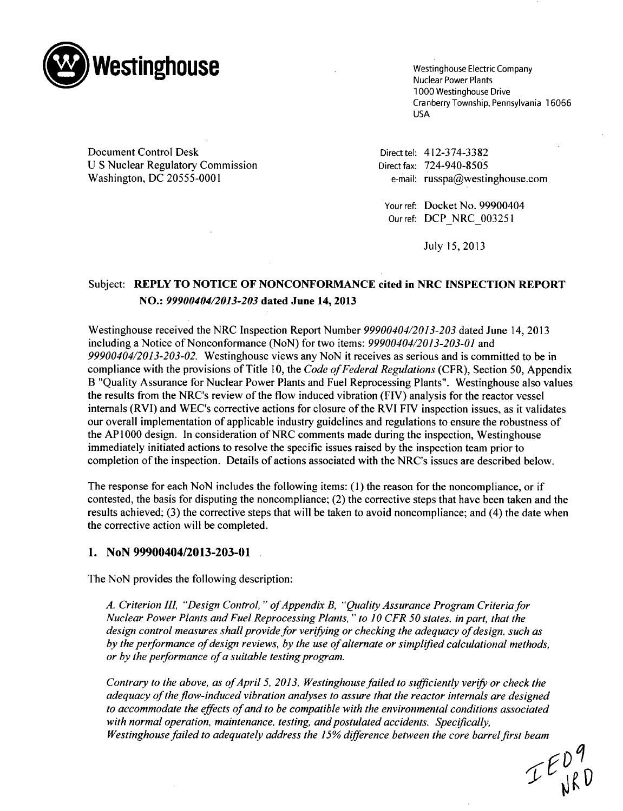

Cranberry Township, Pennsylvania 16066 USA

Document Control Desk Direct tel: 412-374-3382 U S Nuclear Regulatory Commission Direct fax: 724-940-8505 Washington, DC 20555-0001 e-mail: russpa@westinghouse.com

Your ref: Docket No. 99900404 Our ref: DCP NRC 003251

July 15, 2013

# Subject: REPLY TO **NOTICE** OF **NONCONFORMANCE** cited in NRC **INSPECTION** REPORT **NO.:** *99900404/2013-203* dated June 14, 2013

Westinghouse received the NRC Inspection Report Number *99900404/2013-203* dated June 14, 2013 including a Notice of Nonconformance (NoN) for two items: *99900404/2013-203-01* and *99900404/2013-203-02.* Westinghouse views any NoN it receives as serious and is committed to be in compliance with the provisions of Title 10, the *Code of Federal Regulations* (CFR), Section 50, Appendix B "Quality Assurance for Nuclear Power Plants and Fuel Reprocessing Plants". Westinghouse also values the results from the NRC's review of the flow induced vibration (FIV) analysis for the reactor vessel internals (RVI) and WEC's corrective actions for closure of the RVI FIV inspection issues, as it validates our overall implementation of applicable industry guidelines and regulations to ensure the robustness of the **API000** design. In consideration of NRC comments made during the inspection, Westinghouse immediately initiated actions to resolve the specific issues raised by the inspection team prior to completion of the inspection. Details of actions associated with the NRC's issues are described below.

The response for each NoN includes the following items: (1) the reason for the noncompliance, or if contested, the basis for disputing the noncompliance; (2) the corrective steps that have been taken and the results achieved; (3) the corrective steps that will be taken to avoid noncompliance; and (4) the date when the corrective action will be completed.

## **1.** NoN 99900404/2013-203-01

The NoN provides the following description:

A. Criterion III, "Design Control," of Appendix B, "Quality Assurance Program Criteria for *Nuclear Power Plants and Fuel Reprocessing Plants," to 10 CFR 50 states, in part, that the design control measures shall provide for verifying or checking the adequacy of design, such as by the performance of design reviews, by the use of alternate or simplified calculational methods, or by the performance of a suitable testing program.*

*Contrary to the above, as of April 5, 2013, Westinghouse failed to sufficiently verify or check the adequacy of the flow-induced vibration analyses to assure that the reactor internals are designed to accommodate the effects of and to be compatible with the environmental conditions associated with normal operation, maintenance, testing, and postulated accidents. Specifically, Westinghouse failed to adequately address the 15% difference between the core barrelfirst beam*

 $IF^{D9}_{\text{VRD}}$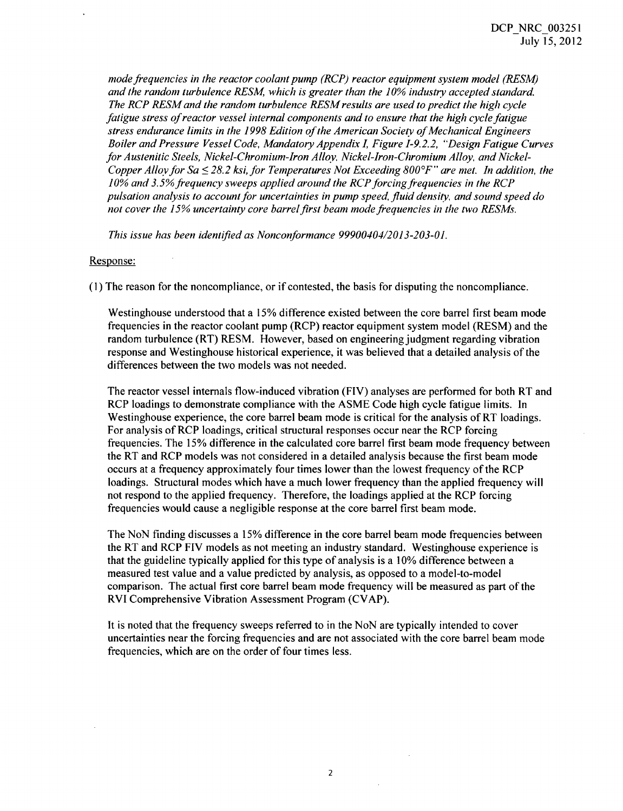*mode frequencies in the reactor coolant pump (RCP) reactor equipment system model (RESM) and the random turbulence RESM, which is greater than the 10% industry accepted standard. The RCP RESM and the random turbulence RESM results are used to predict the high cycle fatigue stress of reactor vessel internal components and to ensure that the high cycle fatigue stress endurance limits in the 1998 Edition of the American Society of Mechanical Engineers Boiler and Pressure Vessel Code, Mandatory Appendix I, Figure 1-9.2.2, "Design Fatigue Curves* for Austenitic Steels, Nickel-Chromium-Iron Alloy, Nickel-Iron-Chromium Alloy, and Nickel-*Copper Alloy for Sa* < *28.2 ksi, for Temperatures Not Exceeding 8007F" are met. In addition, the* 10% and 3.5% frequency sweeps applied around the RCP forcing frequencies in the RCP *pulsation analysis to account for uncertainties in pump speed, fluid density, and sound speed do not cover the 15% uncertainty core barrelfirst beam mode frequencies in the two RESMs.*

*This issue has been identified as Nonconformance 99900404/2013-203-01.*

### Response:

(1) The reason for the noncompliance, or if contested, the basis for disputing the noncompliance.

Westinghouse understood that a 15% difference existed between the core barrel first beam mode frequencies in the reactor coolant pump (RCP) reactor equipment system model (RESM) and the random turbulence (RT) RESM. However, based on engineering judgment regarding vibration response and Westinghouse historical experience, it was believed that a detailed analysis of the differences between the two models was not needed.

The reactor vessel internals flow-induced vibration (FIV) analyses are performed for both RT and RCP loadings to demonstrate compliance with the ASME Code high cycle fatigue limits. In Westinghouse experience, the core barrel beam mode is critical for the analysis of RT loadings. For analysis of RCP loadings, critical structural responses occur near the RCP forcing frequencies. The 15% difference in the calculated core barrel first beam mode frequency between the RT and RCP models was not considered in a detailed analysis because the first beam mode occurs at a frequency approximately four times lower than the lowest frequency of the RCP loadings. Structural modes which have a much lower frequency than the applied frequency will not respond to the applied frequency. Therefore, the loadings applied at the RCP forcing frequencies would cause a negligible response at the core barrel first beam mode.

The NoN finding discusses a 15% difference in the core barrel beam mode frequencies between the RT and RCP FIV models as not meeting an industry standard. Westinghouse experience is that the guideline typically applied for this type of analysis is a 10% difference between a measured test value and a value predicted by analysis, as opposed to a model-to-model comparison. The actual first core barrel beam mode frequency will be measured as part of the RVI Comprehensive Vibration Assessment Program (CVAP).

It is noted that the frequency sweeps referred to in the NoN are typically intended to cover uncertainties near the forcing frequencies and are not associated with the core barrel beam mode frequencies, which are on the order of four times less.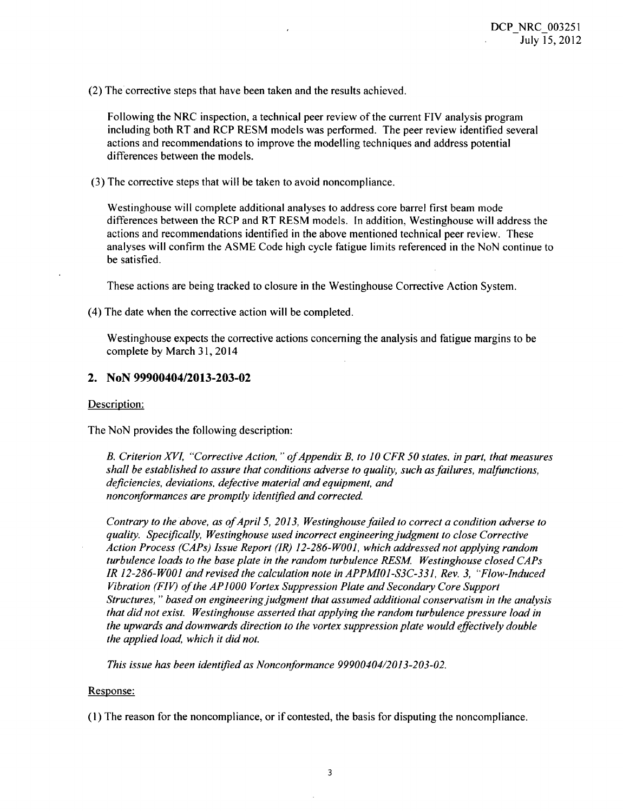(2) The corrective steps that have been taken and the results achieved.

Following the NRC inspection, a technical peer review of the current FIV analysis program including both RT and RCP RESM models was performed. The peer review identified several actions and recommendations to improve the modelling techniques and address potential differences between the models.

(3) The corrective steps that will be taken to avoid noncompliance.

Westinghouse will complete additional analyses to address core barrel first beam mode differences between the RCP and RT RESM models. In addition, Westinghouse will address the actions and recommendations identified in the above mentioned technical peer review. These analyses will confirm the ASME Code high cycle fatigue limits referenced in the NoN continue to be satisfied.

These actions are being tracked to closure in the Westinghouse Corrective Action System.

(4) The date when the corrective action will be completed.

Westinghouse expects the corrective actions concerning the analysis and fatigue margins to be complete by March **31,** 2014

# 2. NoN 99900404/2013-203-02

### Description:

The NoN provides the following description:

*B. Criterion XVI, "Corrective Action, "ofAppendix B. to 10 CFR 50 states. in part, that measures shall be established to assure that conditions adverse to quality, such as failures, malfunctions, deficiencies, deviations, defective material and equipment, and nonconformances are promptly identified and corrected*

*Contrary to the above, as of April 5, 2013, Westinghouse failed to correct a condition adverse to quality. Specifically, Westinghouse used incorrect engineering judgment to close Corrective Action Process (CAPs) Issue Report (IR) 12-286-W001, which addressed not applying random turbulence loads to the base plate in the random turbulence RESM. Westinghouse closed CAPs IR 12-286-WOO] and revised the calculation note in APPM1O1-S3C-331, Rev. 3, "Flow-Induced Vibration (FIV) of the APIO00 Vortex Suppression Plate and Secondary Core Support Structures, "based on engineering judgment that assumed additional conservatism in the analysis that did not exist. Westinghouse asserted that applying the random turbulence pressure load in the upwards and downwards direction to the vortex suppression plate would effectively double the applied load, which it did not.*

*This issue has been identified as Nonconformance 99900404/2013-203-02.*

#### Response:

(1) The reason for the noncompliance, or if contested, the basis for disputing the noncompliance.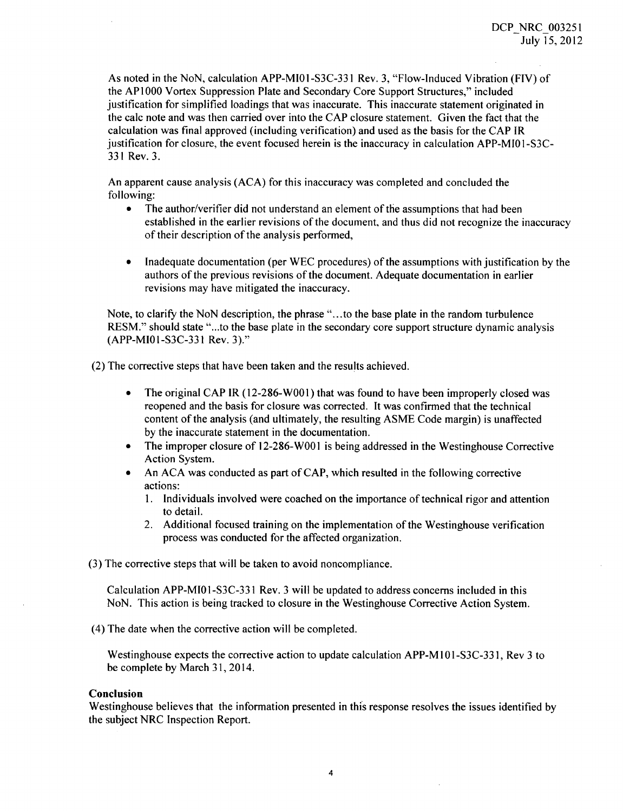As noted in the NoN, calculation APP-MIOI-S3C-331 Rev. 3, "Flow-Induced Vibration (FIV) of the APIOOO Vortex Suppression Plate and Secondary Core Support Structures," included justification for simplified loadings that was inaccurate. This inaccurate statement originated in the calc note and was then carried over into the CAP closure statement. Given the fact that the calculation was final approved (including verification) and used as the basis for the CAP IR justification for closure, the event focused herein is the inaccuracy in calculation APP-MI01-S3C-**331** Rev. 3.

An apparent cause analysis (ACA) for this inaccuracy was completed and concluded the following:

- The author/verifier did not understand an element of the assumptions that had been established in the earlier revisions of the document, and thus did not recognize the inaccuracy of their description of the analysis performed,
- Inadequate documentation (per WEC procedures) of the assumptions with justification by the authors of the previous revisions of the document. Adequate documentation in earlier revisions may have mitigated the inaccuracy.

Note, to clarify the NoN description, the phrase "...to the base plate in the random turbulence RESM." should state "...to the base plate in the secondary core support structure dynamic analysis (APP-MIOI-S3C-331 Rev. 3)."

(2) The corrective steps that have been taken and the results achieved.

- The original CAP IR (12-286-W001) that was found to have been improperly closed was reopened and the basis for closure was corrected. It was confirmed that the technical content of the analysis (and ultimately, the resulting ASME Code margin) is unaffected by the inaccurate statement in the documentation.
- The improper closure of 12-286-W001 is being addressed in the Westinghouse Corrective Action System.
- \* An ACA was conducted as part of CAP, which resulted in the following corrective actions:
	- 1. Individuals involved were coached on the importance of technical rigor and attention to detail.
	- 2. Additional focused training on the implementation of the Westinghouse verification process was conducted for the affected organization.

(3) The corrective steps that will be taken to avoid noncompliance.

Calculation APP-MIOI-S3C-331 Rev. 3 will be updated to address concerns included in this NoN. This action is being tracked to closure in the Westinghouse Corrective Action System.

(4) The date when the corrective action will be completed.

Westinghouse expects the corrective action to update calculation APP-M **101 -S3C-33** 1, Rev 3 to be complete by March 31, 2014.

### Conclusion

Westinghouse believes that the information presented in this response resolves the issues identified by the subject NRC Inspection Report.